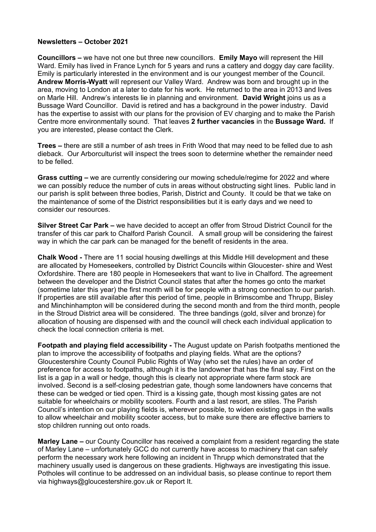## **Newsletters – October 2021**

**Councillors –** we have not one but three new councillors. **Emily Mayo** will represent the Hill Ward. Emily has lived in France Lynch for 5 years and runs a cattery and doggy day care facility. Emily is particularly interested in the environment and is our youngest member of the Council. **Andrew Morris-Wyatt** will represent our Valley Ward. Andrew was born and brought up in the area, moving to London at a later to date for his work. He returned to the area in 2013 and lives on Marle Hill. Andrew's interests lie in planning and environment. **David Wright** joins us as a Bussage Ward Councillor. David is retired and has a background in the power industry. David has the expertise to assist with our plans for the provision of EV charging and to make the Parish Centre more environmentally sound. That leaves **2 further vacancies** in the **Bussage Ward.** If you are interested, please contact the Clerk.

**Trees –** there are still a number of ash trees in Frith Wood that may need to be felled due to ash dieback. Our Arborculturist will inspect the trees soon to determine whether the remainder need to be felled.

**Grass cutting –** we are currently considering our mowing schedule/regime for 2022 and where we can possibly reduce the number of cuts in areas without obstructing sight lines. Public land in our parish is split between three bodies, Parish, District and County. It could be that we take on the maintenance of some of the District responsibilities but it is early days and we need to consider our resources.

**Silver Street Car Park –** we have decided to accept an offer from Stroud District Council for the transfer of this car park to Chalford Parish Council. A small group will be considering the fairest way in which the car park can be managed for the benefit of residents in the area.

**Chalk Wood -** There are 11 social housing dwellings at this Middle Hill development and these are allocated by Homeseekers, controlled by District Councils within Gloucester- shire and West Oxfordshire. There are 180 people in Homeseekers that want to live in Chalford. The agreement between the developer and the District Council states that after the homes go onto the market (sometime later this year) the first month will be for people with a strong connection to our parish. If properties are still available after this period of time, people in Brimscombe and Thrupp, Bisley and Minchinhampton will be considered during the second month and from the third month, people in the Stroud District area will be considered. The three bandings (gold, silver and bronze) for allocation of housing are dispensed with and the council will check each individual application to check the local connection criteria is met.

**Footpath and playing field accessibility -** The August update on Parish footpaths mentioned the plan to improve the accessibility of footpaths and playing fields. What are the options? Gloucestershire County Council Public Rights of Way (who set the rules) have an order of preference for access to footpaths, although it is the landowner that has the final say. First on the list is a gap in a wall or hedge, though this is clearly not appropriate where farm stock are involved. Second is a self-closing pedestrian gate, though some landowners have concerns that these can be wedged or tied open. Third is a kissing gate, though most kissing gates are not suitable for wheelchairs or mobility scooters. Fourth and a last resort, are stiles. The Parish Council's intention on our playing fields is, wherever possible, to widen existing gaps in the walls to allow wheelchair and mobility scooter access, but to make sure there are effective barriers to stop children running out onto roads.

**Marley Lane –** our County Councillor has received a complaint from a resident regarding the state of Marley Lane – unfortunately GCC do not currently have access to machinery that can safely perform the necessary work here following an incident in Thrupp which demonstrated that the machinery usually used is dangerous on these gradients. Highways are investigating this issue. Potholes will continue to be addressed on an individual basis, so please continue to report them via highways@gloucestershire.gov.uk or Report It.